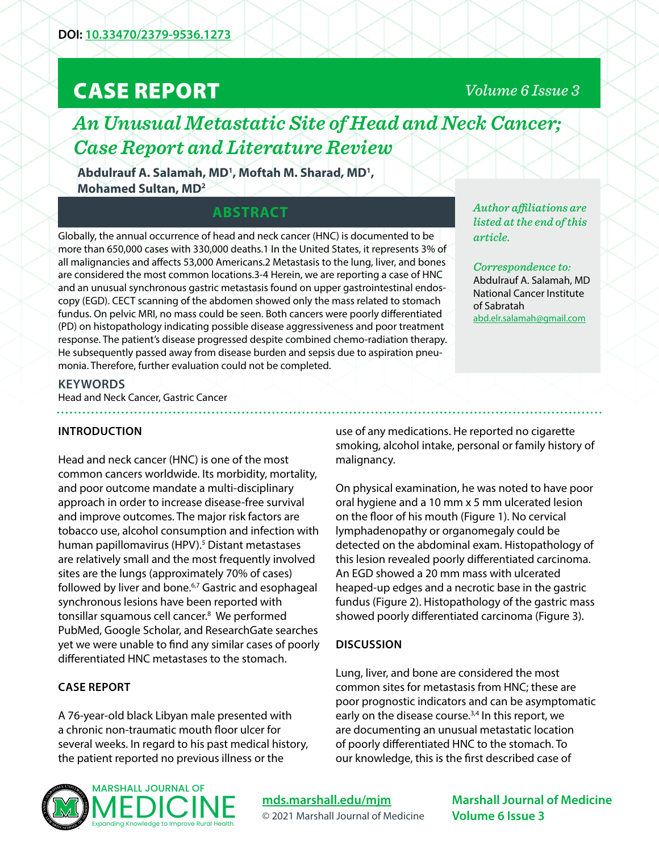# CASE REPORT

## *Volume 6 Issue 3*

## *An Unusual Metastatic Site of Head and Neck Cancer; Case Report and Literature Review*

**Abdulrauf A. Salamah, MD1 , Moftah M. Sharad, MD1 , Mohamed Sultan, MD2**

### **ABSTRACT**

Globally, the annual occurrence of head and neck cancer (HNC) is documented to be more than 650,000 cases with 330,000 deaths.1 In the United States, it represents 3% of all malignancies and affects 53,000 Americans.2 Metastasis to the lung, liver, and bones are considered the most common locations.3-4 Herein, we are reporting a case of HNC and an unusual synchronous gastric metastasis found on upper gastrointestinal endoscopy (EGD). CECT scanning of the abdomen showed only the mass related to stomach fundus. On pelvic MRI, no mass could be seen. Both cancers were poorly differentiated (PD) on histopathology indicating possible disease aggressiveness and poor treatment response. The patient's disease progressed despite combined chemo-radiation therapy. He subsequently passed away from disease burden and sepsis due to aspiration pneumonia. Therefore, further evaluation could not be completed.

*Author affiliations are listed at the end of this article.* 

*Correspondence to:*  Abdulrauf A. Salamah, MD National Cancer Institute of Sabratah [abd.elr.salamah@gmail.com](mailto:abd.elr.salamah%40gmail.com?subject=)

#### **KEYWORDS**

Head and Neck Cancer, Gastric Cancer

#### **INTRODUCTION**

Head and neck cancer (HNC) is one of the most common cancers worldwide. Its morbidity, mortality, and poor outcome mandate a multi-disciplinary approach in order to increase disease-free survival and improve outcomes. The major risk factors are tobacco use, alcohol consumption and infection with human papillomavirus (HPV).<sup>5</sup> Distant metastases are relatively small and the most frequently involved sites are the lungs (approximately 70% of cases) followed by liver and bone.<sup>6,7</sup> Gastric and esophageal synchronous lesions have been reported with tonsillar squamous cell cancer.<sup>8</sup> We performed PubMed, Google Scholar, and ResearchGate searches yet we were unable to find any similar cases of poorly differentiated HNC metastases to the stomach.

### **CASE REPORT**

A 76-year-old black Libyan male presented with a chronic non-traumatic mouth floor ulcer for several weeks. In regard to his past medical history, the patient reported no previous illness or the

use of any medications. He reported no cigarette smoking, alcohol intake, personal or family history of malignancy.

On physical examination, he was noted to have poor oral hygiene and a 10 mm x 5 mm ulcerated lesion on the floor of his mouth (Figure 1). No cervical lymphadenopathy or organomegaly could be detected on the abdominal exam. Histopathology of this lesion revealed poorly differentiated carcinoma. An EGD showed a 20 mm mass with ulcerated heaped-up edges and a necrotic base in the gastric fundus (Figure 2). Histopathology of the gastric mass showed poorly differentiated carcinoma (Figure 3).

#### **DISCUSSION**

Lung, liver, and bone are considered the most common sites for metastasis from HNC; these are poor prognostic indicators and can be asymptomatic early on the disease course.<sup>3,4</sup> In this report, we are documenting an unusual metastatic location of poorly differentiated HNC to the stomach. To our knowledge, this is the first described case of



### **[mds.marshall.edu/mjm](https://mds.marshall.edu/mjm/)** © 2021 Marshall Journal of Medicine

**Marshall Journal of Medicine Volume 6 Issue 3**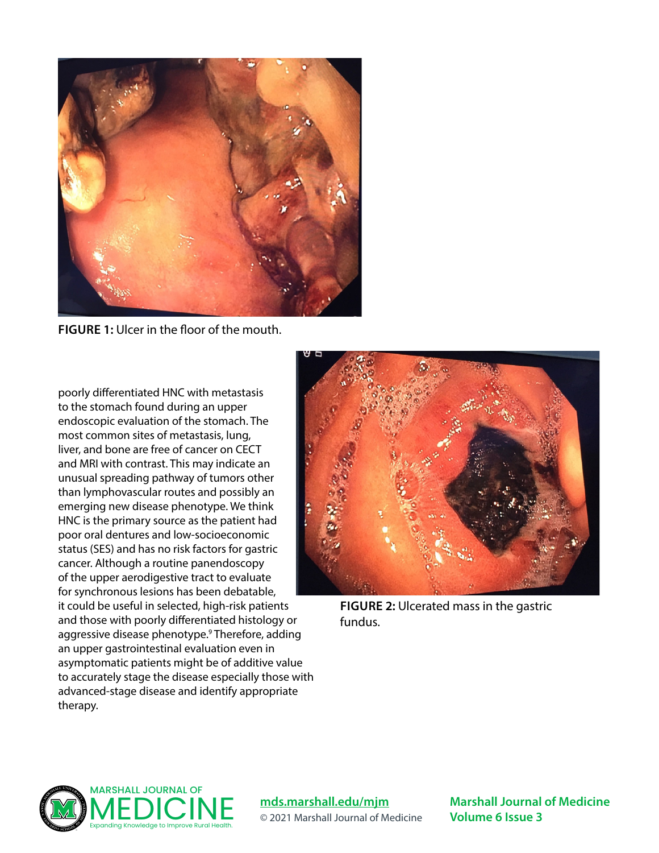

**FIGURE 1:** Ulcer in the floor of the mouth.

poorly differentiated HNC with metastasis to the stomach found during an upper endoscopic evaluation of the stomach. The most common sites of metastasis, lung, liver, and bone are free of cancer on CECT and MRI with contrast. This may indicate an unusual spreading pathway of tumors other than lymphovascular routes and possibly an emerging new disease phenotype. We think HNC is the primary source as the patient had poor oral dentures and low-socioeconomic status (SES) and has no risk factors for gastric cancer. Although a routine panendoscopy of the upper aerodigestive tract to evaluate for synchronous lesions has been debatable, it could be useful in selected, high-risk patients and those with poorly differentiated histology or aggressive disease phenotype.<sup>9</sup> Therefore, adding an upper gastrointestinal evaluation even in asymptomatic patients might be of additive value [to accurately stage the disease especially those with](https://www.ncbi.nlm.nih.gov/pmc/articles/PMC6448097/figure/fig1-1179554919838254/)  advanced-stage disease and identify appropriate therapy.



**FIGURE 2:** Ulcerated mass in the gastric fundus.



**[mds.marshall.edu/mjm](https://mds.marshall.edu/mjm/)** © 2021 Marshall Journal of Medicine

**Marshall Journal of Medicine Volume 6 Issue 3**